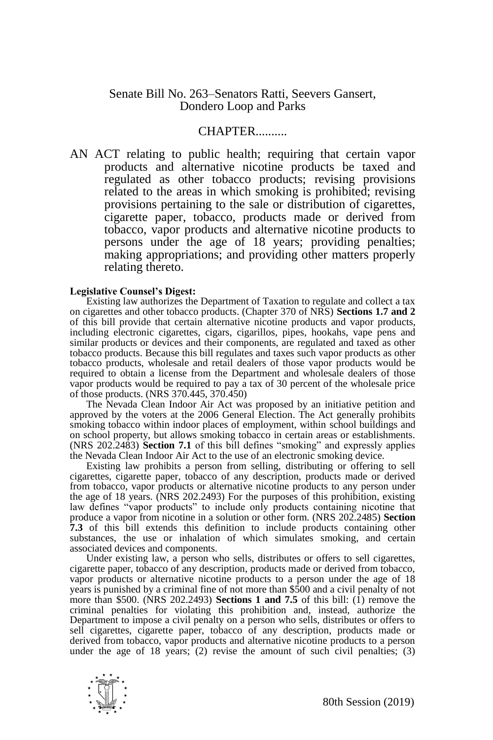## Senate Bill No. 263–Senators Ratti, Seevers Gansert, Dondero Loop and Parks

## CHAPTER..........

AN ACT relating to public health; requiring that certain vapor products and alternative nicotine products be taxed and regulated as other tobacco products; revising provisions related to the areas in which smoking is prohibited; revising provisions pertaining to the sale or distribution of cigarettes, cigarette paper, tobacco, products made or derived from tobacco, vapor products and alternative nicotine products to persons under the age of 18 years; providing penalties; making appropriations; and providing other matters properly relating thereto.

## **Legislative Counsel's Digest:**

Existing law authorizes the Department of Taxation to regulate and collect a tax on cigarettes and other tobacco products. (Chapter 370 of NRS) **Sections 1.7 and 2** of this bill provide that certain alternative nicotine products and vapor products, including electronic cigarettes, cigars, cigarillos, pipes, hookahs, vape pens and similar products or devices and their components, are regulated and taxed as other tobacco products. Because this bill regulates and taxes such vapor products as other tobacco products, wholesale and retail dealers of those vapor products would be required to obtain a license from the Department and wholesale dealers of those vapor products would be required to pay a tax of 30 percent of the wholesale price of those products. (NRS 370.445, 370.450)

The Nevada Clean Indoor Air Act was proposed by an initiative petition and approved by the voters at the 2006 General Election. The Act generally prohibits smoking tobacco within indoor places of employment, within school buildings and on school property, but allows smoking tobacco in certain areas or establishments. (NRS 202.2483) **Section 7.1** of this bill defines "smoking" and expressly applies the Nevada Clean Indoor Air Act to the use of an electronic smoking device.

Existing law prohibits a person from selling, distributing or offering to sell cigarettes, cigarette paper, tobacco of any description, products made or derived from tobacco, vapor products or alternative nicotine products to any person under the age of 18 years. (NRS 202.2493) For the purposes of this prohibition, existing law defines "vapor products" to include only products containing nicotine that produce a vapor from nicotine in a solution or other form. (NRS 202.2485) **Section 7.3** of this bill extends this definition to include products containing other substances, the use or inhalation of which simulates smoking, and certain associated devices and components.

Under existing law, a person who sells, distributes or offers to sell cigarettes, cigarette paper, tobacco of any description, products made or derived from tobacco, vapor products or alternative nicotine products to a person under the age of 18 years is punished by a criminal fine of not more than \$500 and a civil penalty of not more than \$500. (NRS 202.2493) **Sections 1 and 7.5** of this bill: (1) remove the criminal penalties for violating this prohibition and, instead, authorize the Department to impose a civil penalty on a person who sells, distributes or offers to sell cigarettes, cigarette paper, tobacco of any description, products made or derived from tobacco, vapor products and alternative nicotine products to a person under the age of 18 years;  $(2)$  revise the amount of such civil penalties;  $(3)$ 

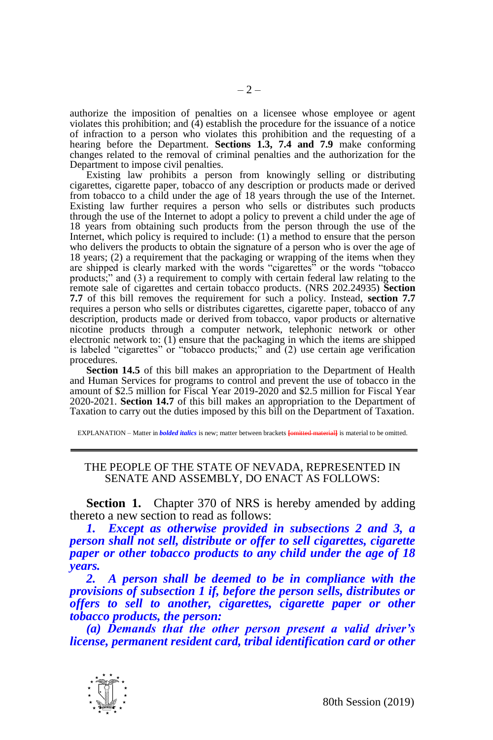authorize the imposition of penalties on a licensee whose employee or agent violates this prohibition; and  $(4)$  establish the procedure for the issuance of a notice of infraction to a person who violates this prohibition and the requesting of a hearing before the Department. **Sections 1.3, 7.4 and 7.9** make conforming changes related to the removal of criminal penalties and the authorization for the Department to impose civil penalties.

Existing law prohibits a person from knowingly selling or distributing cigarettes, cigarette paper, tobacco of any description or products made or derived from tobacco to a child under the age of 18 years through the use of the Internet. Existing law further requires a person who sells or distributes such products through the use of the Internet to adopt a policy to prevent a child under the age of 18 years from obtaining such products from the person through the use of the Internet, which policy is required to include: (1) a method to ensure that the person who delivers the products to obtain the signature of a person who is over the age of 18 years; (2) a requirement that the packaging or wrapping of the items when they are shipped is clearly marked with the words "cigarettes" or the words "tobacco products;" and (3) a requirement to comply with certain federal law relating to the remote sale of cigarettes and certain tobacco products. (NRS 202.24935) **Section 7.7** of this bill removes the requirement for such a policy. Instead, **section 7.7** requires a person who sells or distributes cigarettes, cigarette paper, tobacco of any description, products made or derived from tobacco, vapor products or alternative nicotine products through a computer network, telephonic network or other electronic network to: (1) ensure that the packaging in which the items are shipped is labeled "cigarettes" or "tobacco products;" and  $(2)$  use certain age verification procedures.

**Section 14.5** of this bill makes an appropriation to the Department of Health and Human Services for programs to control and prevent the use of tobacco in the amount of \$2.5 million for Fiscal Year 2019-2020 and \$2.5 million for Fiscal Year 2020-2021. **Section 14.7** of this bill makes an appropriation to the Department of Taxation to carry out the duties imposed by this bill on the Department of Taxation.

EXPLANATION – Matter in *bolded italics* is new; matter between brackets **[**omitted material**]** is material to be omitted.

## THE PEOPLE OF THE STATE OF NEVADA, REPRESENTED IN SENATE AND ASSEMBLY, DO ENACT AS FOLLOWS:

**Section 1.** Chapter 370 of NRS is hereby amended by adding thereto a new section to read as follows:

*1. Except as otherwise provided in subsections 2 and 3, a person shall not sell, distribute or offer to sell cigarettes, cigarette paper or other tobacco products to any child under the age of 18 years.* 

*2. A person shall be deemed to be in compliance with the provisions of subsection 1 if, before the person sells, distributes or offers to sell to another, cigarettes, cigarette paper or other tobacco products, the person:*

*(a) Demands that the other person present a valid driver's license, permanent resident card, tribal identification card or other* 

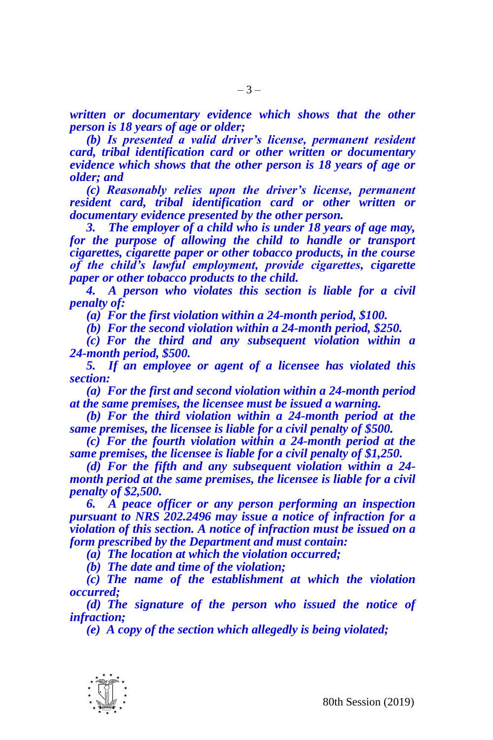*written or documentary evidence which shows that the other person is 18 years of age or older;*

*(b) Is presented a valid driver's license, permanent resident card, tribal identification card or other written or documentary evidence which shows that the other person is 18 years of age or older; and*

*(c) Reasonably relies upon the driver's license, permanent resident card, tribal identification card or other written or documentary evidence presented by the other person.*

*3. The employer of a child who is under 18 years of age may, for the purpose of allowing the child to handle or transport cigarettes, cigarette paper or other tobacco products, in the course of the child's lawful employment, provide cigarettes, cigarette paper or other tobacco products to the child.*

*4. A person who violates this section is liable for a civil penalty of:*

*(a) For the first violation within a 24-month period, \$100.*

*(b) For the second violation within a 24-month period, \$250.*

*(c) For the third and any subsequent violation within a 24-month period, \$500.*

*5. If an employee or agent of a licensee has violated this section:*

*(a) For the first and second violation within a 24-month period at the same premises, the licensee must be issued a warning.*

*(b) For the third violation within a 24-month period at the same premises, the licensee is liable for a civil penalty of \$500.*

*(c) For the fourth violation within a 24-month period at the same premises, the licensee is liable for a civil penalty of \$1,250.*

*(d) For the fifth and any subsequent violation within a 24 month period at the same premises, the licensee is liable for a civil penalty of \$2,500.*

*6. A peace officer or any person performing an inspection pursuant to NRS 202.2496 may issue a notice of infraction for a violation of this section. A notice of infraction must be issued on a form prescribed by the Department and must contain:*

*(a) The location at which the violation occurred;*

*(b) The date and time of the violation;*

*(c) The name of the establishment at which the violation occurred;*

*(d) The signature of the person who issued the notice of infraction;*

*(e) A copy of the section which allegedly is being violated;*

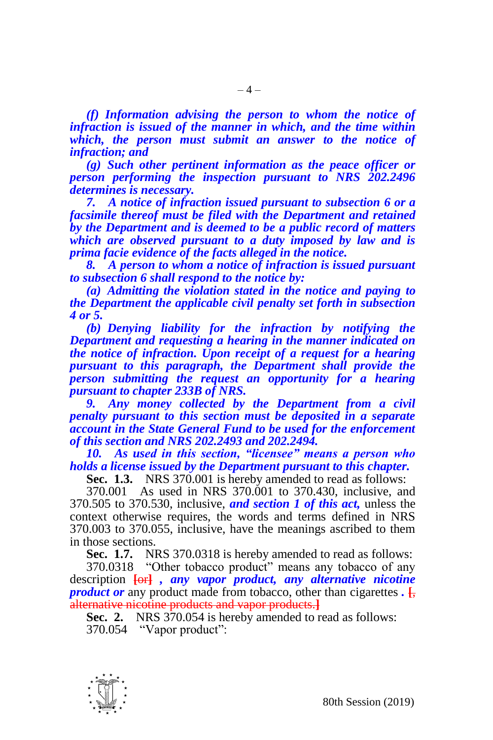*(f) Information advising the person to whom the notice of infraction is issued of the manner in which, and the time within which, the person must submit an answer to the notice of infraction; and*

*(g) Such other pertinent information as the peace officer or person performing the inspection pursuant to NRS 202.2496 determines is necessary.*

*7. A notice of infraction issued pursuant to subsection 6 or a facsimile thereof must be filed with the Department and retained by the Department and is deemed to be a public record of matters which are observed pursuant to a duty imposed by law and is prima facie evidence of the facts alleged in the notice.*

*8. A person to whom a notice of infraction is issued pursuant to subsection 6 shall respond to the notice by:*

*(a) Admitting the violation stated in the notice and paying to the Department the applicable civil penalty set forth in subsection 4 or 5.*

*(b) Denying liability for the infraction by notifying the Department and requesting a hearing in the manner indicated on the notice of infraction. Upon receipt of a request for a hearing pursuant to this paragraph, the Department shall provide the person submitting the request an opportunity for a hearing pursuant to chapter 233B of NRS.* 

*9. Any money collected by the Department from a civil penalty pursuant to this section must be deposited in a separate account in the State General Fund to be used for the enforcement of this section and NRS 202.2493 and 202.2494.*

*10. As used in this section, "licensee" means a person who holds a license issued by the Department pursuant to this chapter.*

**Sec. 1.3.** NRS 370.001 is hereby amended to read as follows:

370.001 As used in NRS 370.001 to 370.430, inclusive, and 370.505 to 370.530, inclusive, *and section 1 of this act,* unless the context otherwise requires, the words and terms defined in NRS 370.003 to 370.055, inclusive, have the meanings ascribed to them in those sections.

**Sec. 1.7.** NRS 370.0318 is hereby amended to read as follows:

370.0318 "Other tobacco product" means any tobacco of any description **[**or**]** *, any vapor product, any alternative nicotine product or* any product made from tobacco, other than cigarettes *.* **[**, alternative nicotine products and vapor products.**]**

**Sec. 2.** NRS 370.054 is hereby amended to read as follows: 370.054 "Vapor product":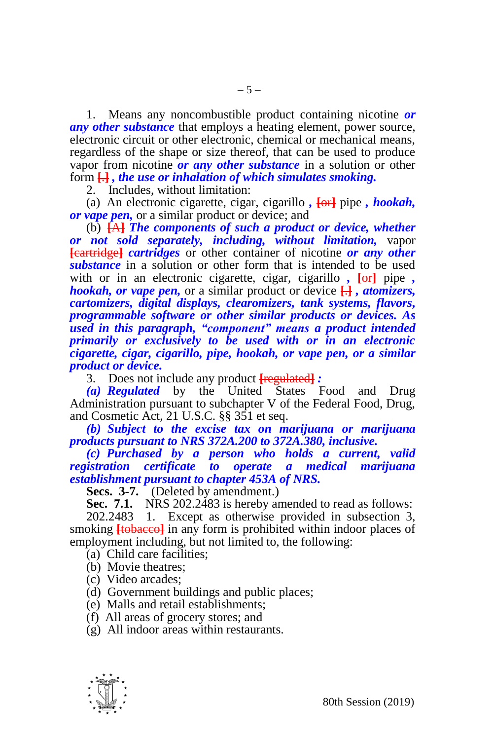1. Means any noncombustible product containing nicotine *or any other substance* that employs a heating element, power source, electronic circuit or other electronic, chemical or mechanical means, regardless of the shape or size thereof, that can be used to produce vapor from nicotine *or any other substance* in a solution or other form **[**.**]** *, the use or inhalation of which simulates smoking.*

2. Includes, without limitation:

(a) An electronic cigarette, cigar, cigarillo *,* **[**or**]** pipe *, hookah, or vape pen,* or a similar product or device; and

(b) **[**A**]** *The components of such a product or device, whether or not sold separately, including, without limitation,* vapor **[**cartridge**]** *cartridges* or other container of nicotine *or any other substance* in a solution or other form that is intended to be used with or in an electronic cigarette, cigar, cigarillo *,* **[**or**]** pipe *, hookah, or vape pen,* or a similar product or device **[**.**]** *, atomizers, cartomizers, digital displays, clearomizers, tank systems, flavors, programmable software or other similar products or devices. As used in this paragraph, "component" means a product intended primarily or exclusively to be used with or in an electronic cigarette, cigar, cigarillo, pipe, hookah, or vape pen, or a similar product or device.*

3. Does not include any product **[**regulated**]** *:*

*(a) Regulated* by the United States Food and Drug Administration pursuant to subchapter V of the Federal Food, Drug, and Cosmetic Act, 21 U.S.C. §§ 351 et seq.

*(b) Subject to the excise tax on marijuana or marijuana products pursuant to NRS 372A.200 to 372A.380, inclusive.*

*(c) Purchased by a person who holds a current, valid registration certificate to operate a medical marijuana establishment pursuant to chapter 453A of NRS.*

**Secs. 3-7.** (Deleted by amendment.)

**Sec. 7.1.** NRS 202.2483 is hereby amended to read as follows:

202.2483 1. Except as otherwise provided in subsection 3, smoking **[tobacco]** in any form is prohibited within indoor places of employment including, but not limited to, the following:

(a) Child care facilities;

(b) Movie theatres;

(c) Video arcades;

(d) Government buildings and public places;

(e) Malls and retail establishments;

(f) All areas of grocery stores; and

(g) All indoor areas within restaurants.

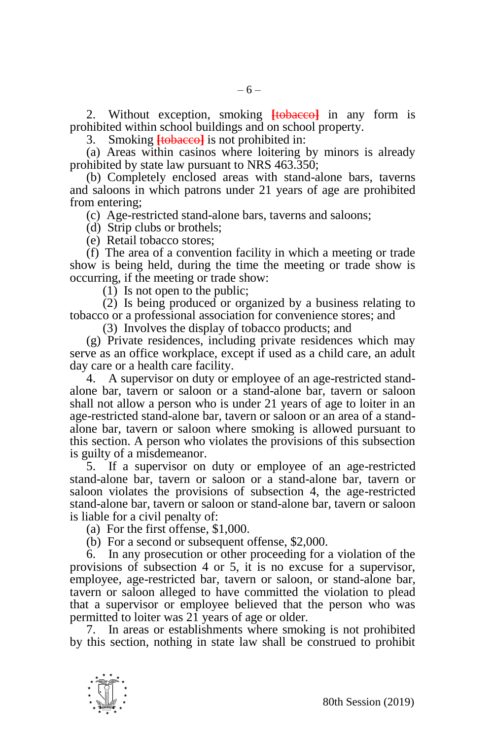2. Without exception, smoking **[**tobacco**]** in any form is prohibited within school buildings and on school property.

3. Smoking **[**tobacco**]** is not prohibited in:

(a) Areas within casinos where loitering by minors is already prohibited by state law pursuant to NRS 463.350;

(b) Completely enclosed areas with stand-alone bars, taverns and saloons in which patrons under 21 years of age are prohibited from entering;

(c) Age-restricted stand-alone bars, taverns and saloons;

(d) Strip clubs or brothels;

(e) Retail tobacco stores;

(f) The area of a convention facility in which a meeting or trade show is being held, during the time the meeting or trade show is occurring, if the meeting or trade show:

(1) Is not open to the public;

(2) Is being produced or organized by a business relating to tobacco or a professional association for convenience stores; and

(3) Involves the display of tobacco products; and

(g) Private residences, including private residences which may serve as an office workplace, except if used as a child care, an adult day care or a health care facility.

4. A supervisor on duty or employee of an age-restricted standalone bar, tavern or saloon or a stand-alone bar, tavern or saloon shall not allow a person who is under 21 years of age to loiter in an age-restricted stand-alone bar, tavern or saloon or an area of a standalone bar, tavern or saloon where smoking is allowed pursuant to this section. A person who violates the provisions of this subsection is guilty of a misdemeanor.

5. If a supervisor on duty or employee of an age-restricted stand-alone bar, tavern or saloon or a stand-alone bar, tavern or saloon violates the provisions of subsection 4, the age-restricted stand-alone bar, tavern or saloon or stand-alone bar, tavern or saloon is liable for a civil penalty of:

(a) For the first offense, \$1,000.

(b) For a second or subsequent offense, \$2,000.

6. In any prosecution or other proceeding for a violation of the provisions of subsection 4 or 5, it is no excuse for a supervisor, employee, age-restricted bar, tavern or saloon, or stand-alone bar, tavern or saloon alleged to have committed the violation to plead that a supervisor or employee believed that the person who was permitted to loiter was 21 years of age or older.

7. In areas or establishments where smoking is not prohibited by this section, nothing in state law shall be construed to prohibit

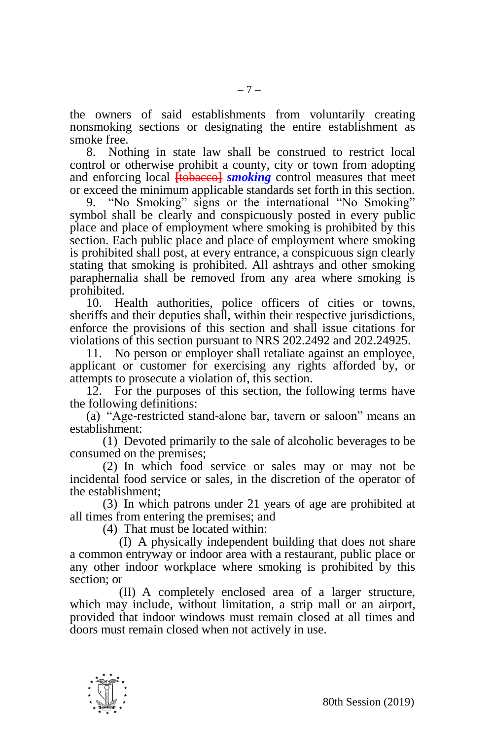the owners of said establishments from voluntarily creating nonsmoking sections or designating the entire establishment as smoke free.

8. Nothing in state law shall be construed to restrict local control or otherwise prohibit a county, city or town from adopting and enforcing local **[**tobacco**]** *smoking* control measures that meet or exceed the minimum applicable standards set forth in this section.

9. "No Smoking" signs or the international "No Smoking" symbol shall be clearly and conspicuously posted in every public place and place of employment where smoking is prohibited by this section. Each public place and place of employment where smoking is prohibited shall post, at every entrance, a conspicuous sign clearly stating that smoking is prohibited. All ashtrays and other smoking paraphernalia shall be removed from any area where smoking is prohibited.

10. Health authorities, police officers of cities or towns, sheriffs and their deputies shall, within their respective jurisdictions, enforce the provisions of this section and shall issue citations for violations of this section pursuant to NRS 202.2492 and 202.24925.

11. No person or employer shall retaliate against an employee, applicant or customer for exercising any rights afforded by, or attempts to prosecute a violation of, this section.

12. For the purposes of this section, the following terms have the following definitions:

(a) "Age-restricted stand-alone bar, tavern or saloon" means an establishment:

(1) Devoted primarily to the sale of alcoholic beverages to be consumed on the premises;

(2) In which food service or sales may or may not be incidental food service or sales, in the discretion of the operator of the establishment;

(3) In which patrons under 21 years of age are prohibited at all times from entering the premises; and

(4) That must be located within:

(I) A physically independent building that does not share a common entryway or indoor area with a restaurant, public place or any other indoor workplace where smoking is prohibited by this section; or

(II) A completely enclosed area of a larger structure, which may include, without limitation, a strip mall or an airport, provided that indoor windows must remain closed at all times and doors must remain closed when not actively in use.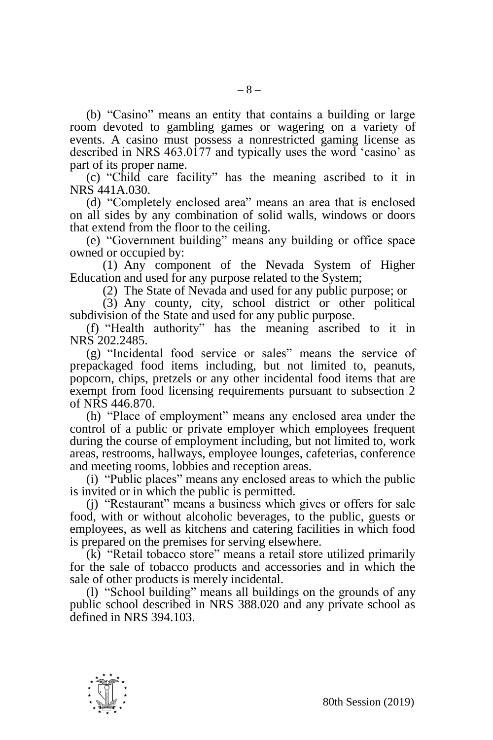(b) "Casino" means an entity that contains a building or large room devoted to gambling games or wagering on a variety of events. A casino must possess a nonrestricted gaming license as described in NRS  $463.0177$  and typically uses the word 'casino' as part of its proper name.

(c) "Child care facility" has the meaning ascribed to it in NRS 441A.030.

(d) "Completely enclosed area" means an area that is enclosed on all sides by any combination of solid walls, windows or doors that extend from the floor to the ceiling.

(e) "Government building" means any building or office space owned or occupied by:

(1) Any component of the Nevada System of Higher Education and used for any purpose related to the System;

(2) The State of Nevada and used for any public purpose; or

(3) Any county, city, school district or other political subdivision of the State and used for any public purpose.

(f) "Health authority" has the meaning ascribed to it in NRS 202.2485.

(g) "Incidental food service or sales" means the service of prepackaged food items including, but not limited to, peanuts, popcorn, chips, pretzels or any other incidental food items that are exempt from food licensing requirements pursuant to subsection 2 of NRS 446.870.

(h) "Place of employment" means any enclosed area under the control of a public or private employer which employees frequent during the course of employment including, but not limited to, work areas, restrooms, hallways, employee lounges, cafeterias, conference and meeting rooms, lobbies and reception areas.

(i) "Public places" means any enclosed areas to which the public is invited or in which the public is permitted.

(j) "Restaurant" means a business which gives or offers for sale food, with or without alcoholic beverages, to the public, guests or employees, as well as kitchens and catering facilities in which food is prepared on the premises for serving elsewhere.

(k) "Retail tobacco store" means a retail store utilized primarily for the sale of tobacco products and accessories and in which the sale of other products is merely incidental.

(l) "School building" means all buildings on the grounds of any public school described in NRS 388.020 and any private school as defined in NRS 394.103.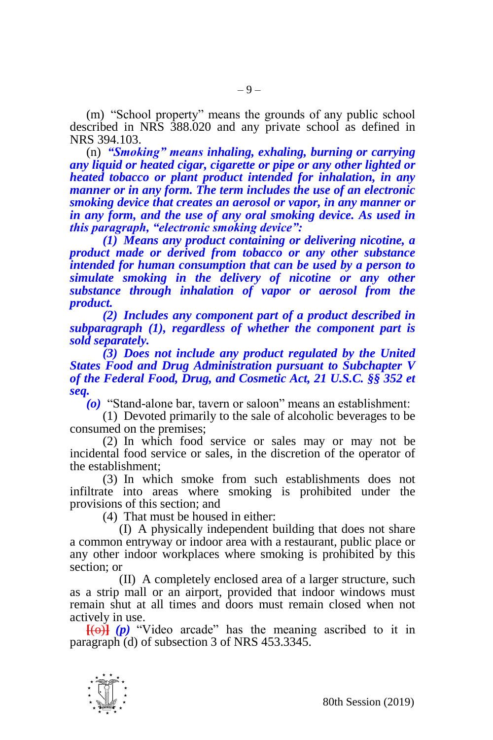(m) "School property" means the grounds of any public school described in NRS 388.020 and any private school as defined in NRS 394.103.

(n) *"Smoking" means inhaling, exhaling, burning or carrying any liquid or heated cigar, cigarette or pipe or any other lighted or heated tobacco or plant product intended for inhalation, in any manner or in any form. The term includes the use of an electronic smoking device that creates an aerosol or vapor, in any manner or in any form, and the use of any oral smoking device. As used in this paragraph, "electronic smoking device":*

*(1) Means any product containing or delivering nicotine, a product made or derived from tobacco or any other substance intended for human consumption that can be used by a person to simulate smoking in the delivery of nicotine or any other substance through inhalation of vapor or aerosol from the product.*

*(2) Includes any component part of a product described in subparagraph (1), regardless of whether the component part is sold separately.*

*(3) Does not include any product regulated by the United States Food and Drug Administration pursuant to Subchapter V of the Federal Food, Drug, and Cosmetic Act, 21 U.S.C. §§ 352 et seq.*

*(o)* "Stand-alone bar, tavern or saloon" means an establishment:

(1) Devoted primarily to the sale of alcoholic beverages to be consumed on the premises;

(2) In which food service or sales may or may not be incidental food service or sales, in the discretion of the operator of the establishment;

(3) In which smoke from such establishments does not infiltrate into areas where smoking is prohibited under the provisions of this section; and

(4) That must be housed in either:

(I) A physically independent building that does not share a common entryway or indoor area with a restaurant, public place or any other indoor workplaces where smoking is prohibited by this section; or

(II) A completely enclosed area of a larger structure, such as a strip mall or an airport, provided that indoor windows must remain shut at all times and doors must remain closed when not actively in use.

 $[(\theta)]$  (p) "Video arcade" has the meaning ascribed to it in paragraph (d) of subsection 3 of NRS 453.3345.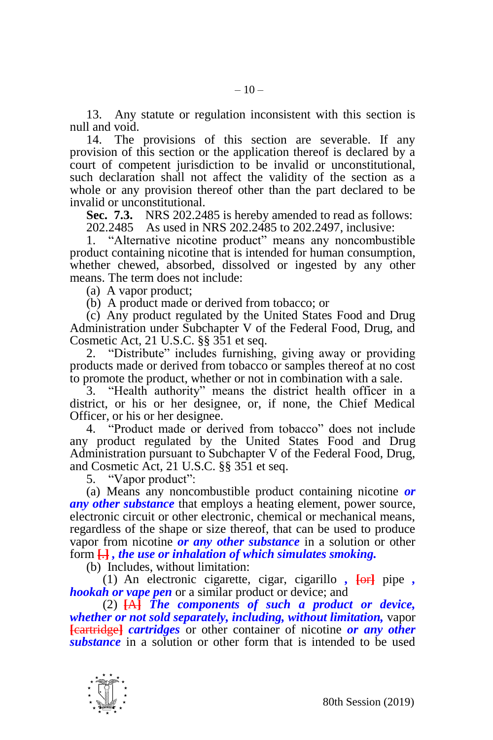13. Any statute or regulation inconsistent with this section is null and void.

14. The provisions of this section are severable. If any provision of this section or the application thereof is declared by a court of competent jurisdiction to be invalid or unconstitutional, such declaration shall not affect the validity of the section as a whole or any provision thereof other than the part declared to be invalid or unconstitutional.

**Sec. 7.3.** NRS 202.2485 is hereby amended to read as follows: 202.2485 As used in NRS 202.2485 to 202.2497, inclusive:

1. "Alternative nicotine product" means any noncombustible product containing nicotine that is intended for human consumption, whether chewed, absorbed, dissolved or ingested by any other means. The term does not include:

(a) A vapor product;

(b) A product made or derived from tobacco; or

(c) Any product regulated by the United States Food and Drug Administration under Subchapter V of the Federal Food, Drug, and Cosmetic Act, 21 U.S.C. §§ 351 et seq.

2. "Distribute" includes furnishing, giving away or providing products made or derived from tobacco or samples thereof at no cost to promote the product, whether or not in combination with a sale.

3. "Health authority" means the district health officer in a district, or his or her designee, or, if none, the Chief Medical Officer, or his or her designee.

4. "Product made or derived from tobacco" does not include any product regulated by the United States Food and Drug Administration pursuant to Subchapter V of the Federal Food, Drug, and Cosmetic Act, 21 U.S.C. §§ 351 et seq.

5. "Vapor product":

(a) Means any noncombustible product containing nicotine *or any other substance* that employs a heating element, power source, electronic circuit or other electronic, chemical or mechanical means, regardless of the shape or size thereof, that can be used to produce vapor from nicotine *or any other substance* in a solution or other form **[**.**]** *, the use or inhalation of which simulates smoking.*

(b) Includes, without limitation:

(1) An electronic cigarette, cigar, cigarillo *,* **[**or**]** pipe *, hookah or vape pen* or a similar product or device; and

(2) **[**A**]** *The components of such a product or device, whether or not sold separately, including, without limitation,* vapor **[**cartridge**]** *cartridges* or other container of nicotine *or any other substance* in a solution or other form that is intended to be used

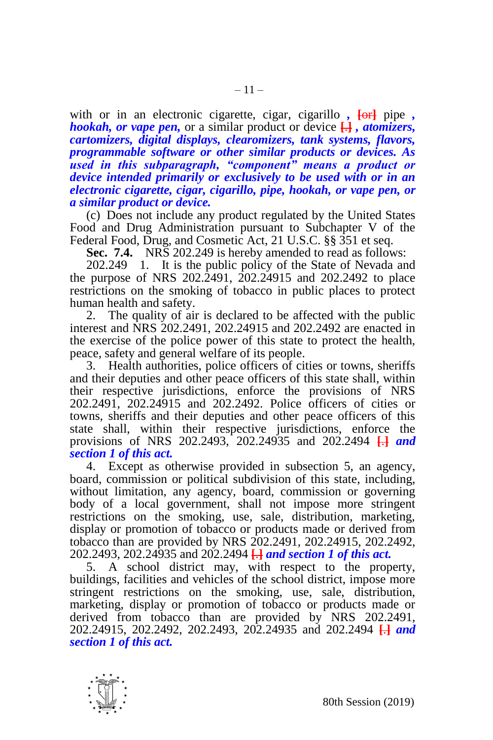with or in an electronic cigarette, cigar, cigarillo,  $\overline{\text{for}}$  pipe, *hookah, or vape pen,* or a similar product or device **[**.**]** *, atomizers, cartomizers, digital displays, clearomizers, tank systems, flavors, programmable software or other similar products or devices. As used in this subparagraph, "component" means a product or device intended primarily or exclusively to be used with or in an electronic cigarette, cigar, cigarillo, pipe, hookah, or vape pen, or a similar product or device.*

(c) Does not include any product regulated by the United States Food and Drug Administration pursuant to Subchapter V of the Federal Food, Drug, and Cosmetic Act, 21 U.S.C. §§ 351 et seq.

**Sec. 7.4.** NRS 202.249 is hereby amended to read as follows:

202.249 1. It is the public policy of the State of Nevada and the purpose of NRS 202.2491, 202.24915 and 202.2492 to place restrictions on the smoking of tobacco in public places to protect human health and safety.

2. The quality of air is declared to be affected with the public interest and NRS 202.2491, 202.24915 and 202.2492 are enacted in the exercise of the police power of this state to protect the health, peace, safety and general welfare of its people.

3. Health authorities, police officers of cities or towns, sheriffs and their deputies and other peace officers of this state shall, within their respective jurisdictions, enforce the provisions of NRS 202.2491, 202.24915 and 202.2492. Police officers of cities or towns, sheriffs and their deputies and other peace officers of this state shall, within their respective jurisdictions, enforce the provisions of NRS 202.2493, 202.24935 and 202.2494 **[**.**]** *and section 1 of this act.*

4. Except as otherwise provided in subsection 5, an agency, board, commission or political subdivision of this state, including, without limitation, any agency, board, commission or governing body of a local government, shall not impose more stringent restrictions on the smoking, use, sale, distribution, marketing, display or promotion of tobacco or products made or derived from tobacco than are provided by NRS 202.2491, 202.24915, 202.2492, 202.2493, 202.24935 and 202.2494 **[**.**]** *and section 1 of this act.*

5. A school district may, with respect to the property, buildings, facilities and vehicles of the school district, impose more stringent restrictions on the smoking, use, sale, distribution, marketing, display or promotion of tobacco or products made or derived from tobacco than are provided by NRS 202.2491, 202.24915, 202.2492, 202.2493, 202.24935 and 202.2494 **[**.**]** *and section 1 of this act.*

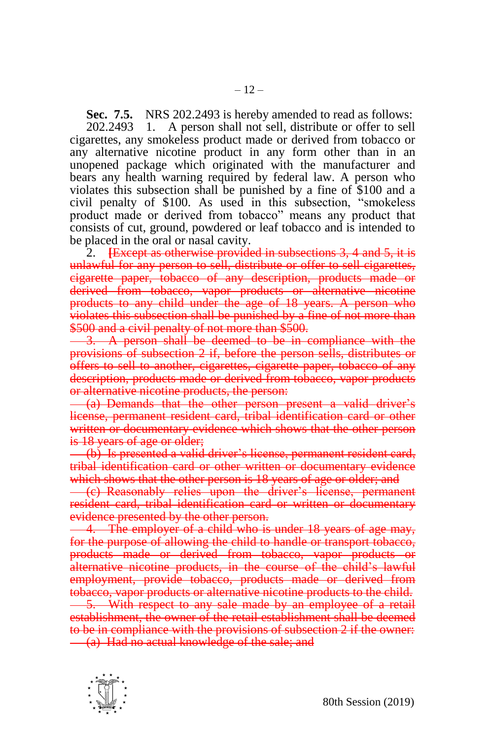**Sec. 7.5.** NRS 202.2493 is hereby amended to read as follows:

202.2493 1. A person shall not sell, distribute or offer to sell cigarettes, any smokeless product made or derived from tobacco or any alternative nicotine product in any form other than in an unopened package which originated with the manufacturer and bears any health warning required by federal law. A person who violates this subsection shall be punished by a fine of \$100 and a civil penalty of \$100. As used in this subsection, "smokeless product made or derived from tobacco" means any product that consists of cut, ground, powdered or leaf tobacco and is intended to be placed in the oral or nasal cavity.

2. **[**Except as otherwise provided in subsections 3, 4 and 5, it is unlawful for any person to sell, distribute or offer to sell cigarettes, cigarette paper, tobacco of any description, products made or derived from tobacco, vapor products or alternative nicotine products to any child under the age of 18 years. A person who violates this subsection shall be punished by a fine of not more than \$500 and a civil penalty of not more than \$500.

3. A person shall be deemed to be in compliance with the provisions of subsection 2 if, before the person sells, distributes or offers to sell to another, cigarettes, cigarette paper, tobacco of any description, products made or derived from tobacco, vapor products or alternative nicotine products, the person:

(a) Demands that the other person present a valid driver's license, permanent resident card, tribal identification card or other written or documentary evidence which shows that the other person is 18 years of age or older;

(b) Is presented a valid driver's license, permanent resident card, tribal identification card or other written or documentary evidence which shows that the other person is 18 years of age or older; and

(c) Reasonably relies upon the driver's license, permanent resident card, tribal identification card or written or documentary evidence presented by the other person.

4. The employer of a child who is under 18 years of age may, for the purpose of allowing the child to handle or transport tobacco, products made or derived from tobacco, vapor products or alternative nicotine products, in the course of the child's lawful employment, provide tobacco, products made or derived from tobacco, vapor products or alternative nicotine products to the child. 5. With respect to any sale made by an employee of a retail establishment, the owner of the retail establishment shall be deemed to be in compliance with the provisions of subsection 2 if the owner: (a) Had no actual knowledge of the sale; and

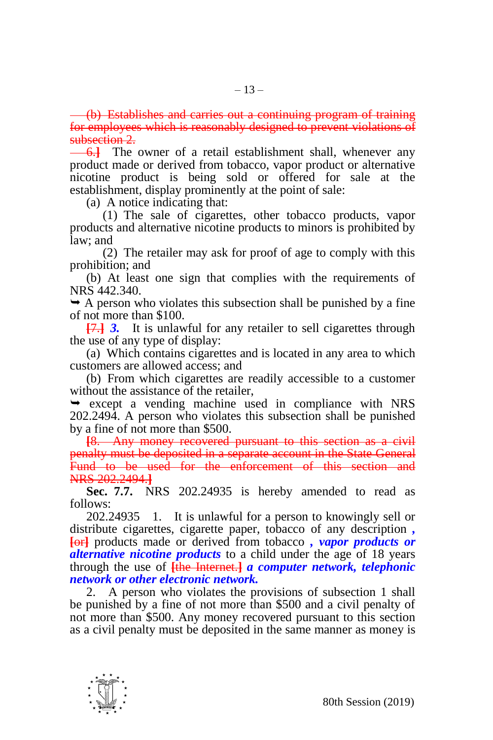(b) Establishes and carries out a continuing program of training for employees which is reasonably designed to prevent violations of subsection 2.

**6.** The owner of a retail establishment shall, whenever any product made or derived from tobacco, vapor product or alternative nicotine product is being sold or offered for sale at the establishment, display prominently at the point of sale:

(a) A notice indicating that:

(1) The sale of cigarettes, other tobacco products, vapor products and alternative nicotine products to minors is prohibited by law; and

(2) The retailer may ask for proof of age to comply with this prohibition; and

(b) At least one sign that complies with the requirements of NRS 442.340.

 $\rightarrow$  A person who violates this subsection shall be punished by a fine of not more than \$100.

**[**7.**]** *3.* It is unlawful for any retailer to sell cigarettes through the use of any type of display:

(a) Which contains cigarettes and is located in any area to which customers are allowed access; and

(b) From which cigarettes are readily accessible to a customer without the assistance of the retailer,

 $\rightarrow$  except a vending machine used in compliance with NRS 202.2494. A person who violates this subsection shall be punished by a fine of not more than \$500.

**[**8. Any money recovered pursuant to this section as a civil penalty must be deposited in a separate account in the State General Fund to be used for the enforcement of this section and NRS 202.2494.**]**

**Sec. 7.7.** NRS 202.24935 is hereby amended to read as follows:

202.24935 1. It is unlawful for a person to knowingly sell or distribute cigarettes, cigarette paper, tobacco of any description *,* **[**or**]** products made or derived from tobacco *, vapor products or alternative nicotine products* to a child under the age of 18 years through the use of **[**the Internet.**]** *a computer network, telephonic network or other electronic network.*

2. A person who violates the provisions of subsection 1 shall be punished by a fine of not more than \$500 and a civil penalty of not more than \$500. Any money recovered pursuant to this section as a civil penalty must be deposited in the same manner as money is

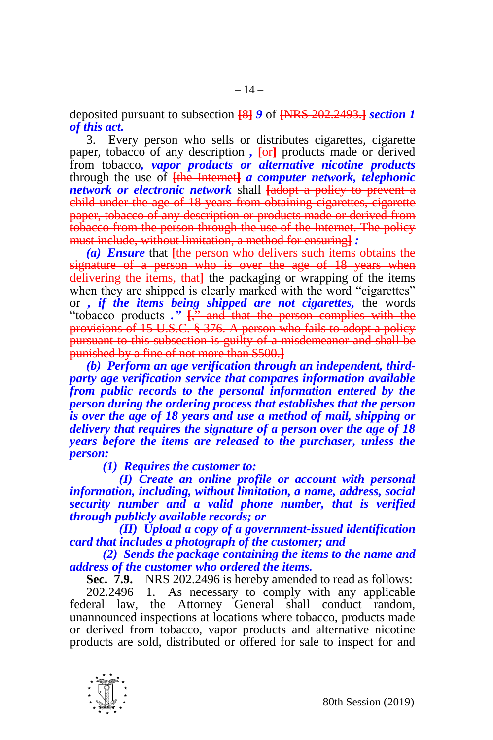deposited pursuant to subsection **[**8**]** *9* of **[**NRS 202.2493.**]** *section 1 of this act.*

3. Every person who sells or distributes cigarettes, cigarette paper, tobacco of any description *,* **[**or**]** products made or derived from tobacco*, vapor products or alternative nicotine products* through the use of **[**the Internet**]** *a computer network, telephonic network or electronic network* shall **[**adopt a policy to prevent a child under the age of 18 years from obtaining cigarettes, cigarette paper, tobacco of any description or products made or derived from tobacco from the person through the use of the Internet. The policy must include, without limitation, a method for ensuring**]** *:*

*(a) Ensure* that **[**the person who delivers such items obtains the signature of a person who is over the age of 18 years when delivering the items, that**]** the packaging or wrapping of the items when they are shipped is clearly marked with the word "cigarettes" or *, if the items being shipped are not cigarettes,* the words "tobacco products ."  $\frac{1}{2}$  and that the person complies with the provisions of 15 U.S.C. § 376. A person who fails to adopt a policy pursuant to this subsection is guilty of a misdemeanor and shall be punished by a fine of not more than \$500.**]**

*(b) Perform an age verification through an independent, thirdparty age verification service that compares information available from public records to the personal information entered by the person during the ordering process that establishes that the person is over the age of 18 years and use a method of mail, shipping or delivery that requires the signature of a person over the age of 18 years before the items are released to the purchaser, unless the person:*

*(1) Requires the customer to:*

*(I) Create an online profile or account with personal information, including, without limitation, a name, address, social security number and a valid phone number, that is verified through publicly available records; or*

*(II) Upload a copy of a government-issued identification card that includes a photograph of the customer; and*

*(2) Sends the package containing the items to the name and address of the customer who ordered the items.* 

**Sec. 7.9.** NRS 202.2496 is hereby amended to read as follows:

202.2496 1. As necessary to comply with any applicable federal law, the Attorney General shall conduct random, unannounced inspections at locations where tobacco, products made or derived from tobacco, vapor products and alternative nicotine products are sold, distributed or offered for sale to inspect for and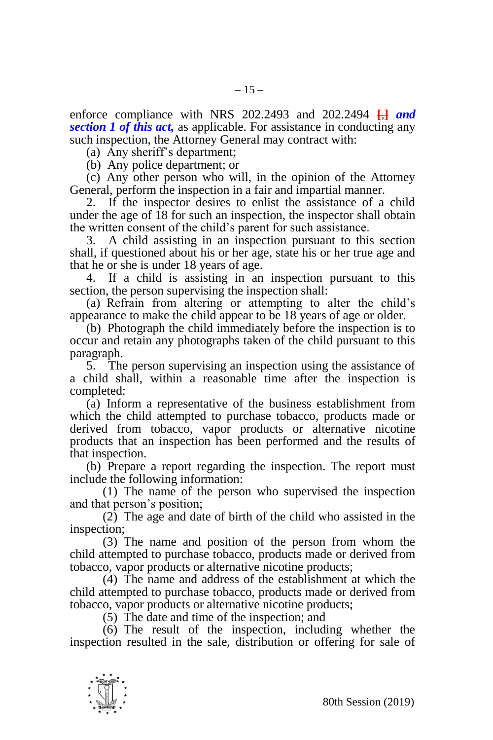enforce compliance with NRS 202.2493 and 202.2494 **[**,**]** *and section 1 of this act,* as applicable. For assistance in conducting any such inspection, the Attorney General may contract with:

(a) Any sheriff's department;

(b) Any police department; or

(c) Any other person who will, in the opinion of the Attorney General, perform the inspection in a fair and impartial manner.

2. If the inspector desires to enlist the assistance of a child under the age of 18 for such an inspection, the inspector shall obtain the written consent of the child's parent for such assistance.

3. A child assisting in an inspection pursuant to this section shall, if questioned about his or her age, state his or her true age and that he or she is under 18 years of age.

4. If a child is assisting in an inspection pursuant to this section, the person supervising the inspection shall:

(a) Refrain from altering or attempting to alter the child's appearance to make the child appear to be 18 years of age or older.

(b) Photograph the child immediately before the inspection is to occur and retain any photographs taken of the child pursuant to this paragraph.

5. The person supervising an inspection using the assistance of a child shall, within a reasonable time after the inspection is completed:

(a) Inform a representative of the business establishment from which the child attempted to purchase tobacco, products made or derived from tobacco, vapor products or alternative nicotine products that an inspection has been performed and the results of that inspection.

(b) Prepare a report regarding the inspection. The report must include the following information:

(1) The name of the person who supervised the inspection and that person's position;

 $(2)$  The age and date of birth of the child who assisted in the inspection;

(3) The name and position of the person from whom the child attempted to purchase tobacco, products made or derived from tobacco, vapor products or alternative nicotine products;

(4) The name and address of the establishment at which the child attempted to purchase tobacco, products made or derived from tobacco, vapor products or alternative nicotine products;

(5) The date and time of the inspection; and

(6) The result of the inspection, including whether the inspection resulted in the sale, distribution or offering for sale of

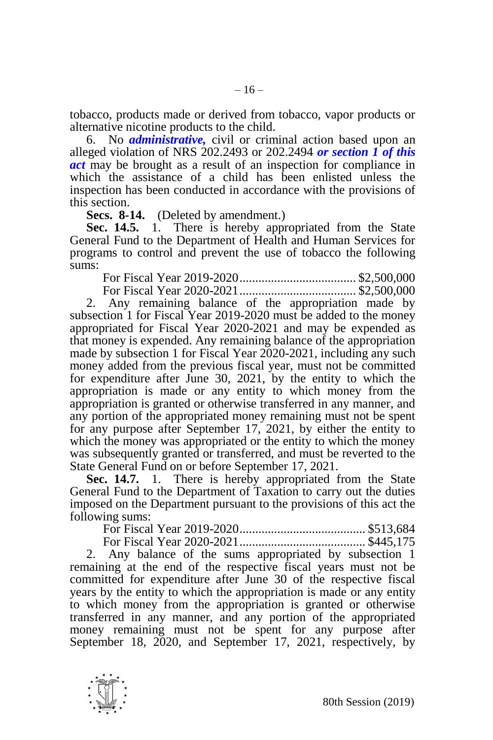tobacco, products made or derived from tobacco, vapor products or alternative nicotine products to the child.

6. No *administrative,* civil or criminal action based upon an alleged violation of NRS 202.2493 or 202.2494 *or section 1 of this act* may be brought as a result of an inspection for compliance in which the assistance of a child has been enlisted unless the inspection has been conducted in accordance with the provisions of this section.

**Secs. 8-14.** (Deleted by amendment.)

**Sec. 14.5.** 1. There is hereby appropriated from the State General Fund to the Department of Health and Human Services for programs to control and prevent the use of tobacco the following sums:

For Fiscal Year 2019-2020..................................... \$2,500,000 For Fiscal Year 2020-2021..................................... \$2,500,000

2. Any remaining balance of the appropriation made by subsection 1 for Fiscal Year 2019-2020 must be added to the money appropriated for Fiscal Year 2020-2021 and may be expended as that money is expended. Any remaining balance of the appropriation made by subsection 1 for Fiscal Year 2020-2021, including any such money added from the previous fiscal year, must not be committed for expenditure after June 30, 2021, by the entity to which the appropriation is made or any entity to which money from the appropriation is granted or otherwise transferred in any manner, and any portion of the appropriated money remaining must not be spent for any purpose after September 17, 2021, by either the entity to which the money was appropriated or the entity to which the money was subsequently granted or transferred, and must be reverted to the State General Fund on or before September 17, 2021.

**Sec. 14.7.** 1. There is hereby appropriated from the State General Fund to the Department of Taxation to carry out the duties imposed on the Department pursuant to the provisions of this act the following sums:

For Fiscal Year 2019-2020........................................ \$513,684 For Fiscal Year 2020-2021........................................ \$445,175

2. Any balance of the sums appropriated by subsection 1 remaining at the end of the respective fiscal years must not be committed for expenditure after June 30 of the respective fiscal years by the entity to which the appropriation is made or any entity to which money from the appropriation is granted or otherwise transferred in any manner, and any portion of the appropriated money remaining must not be spent for any purpose after September 18, 2020, and September 17, 2021, respectively, by